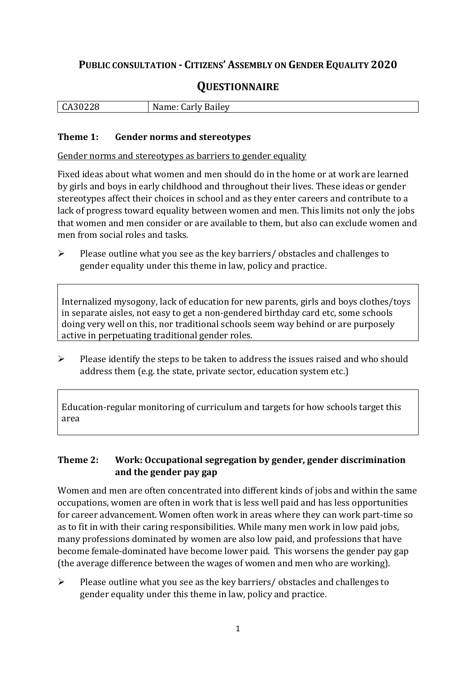## **PUBLIC CONSULTATION - CITIZENS' ASSEMBLY ON GENDER EQUALITY 2020**

# **QUESTIONNAIRE**

| .<br>$\mathbf{r}$<br>۔ 50.<br>$\overline{a}$<br>440<br>ິ | N<br>arly Bailey.<br>$\mu$ ine. Fig.<br>: الص. . |
|----------------------------------------------------------|--------------------------------------------------|
|                                                          |                                                  |

#### **Theme 1: Gender norms and stereotypes**

Gender norms and stereotypes as barriers to gender equality

Fixed ideas about what women and men should do in the home or at work are learned by girls and boys in early childhood and throughout their lives. These ideas or gender stereotypes affect their choices in school and as they enter careers and contribute to a lack of progress toward equality between women and men. This limits not only the jobs that women and men consider or are available to them, but also can exclude women and men from social roles and tasks.

➢ Please outline what you see as the key barriers/ obstacles and challenges to gender equality under this theme in law, policy and practice.

Internalized mysogony, lack of education for new parents, girls and boys clothes/toys in separate aisles, not easy to get a non-gendered birthday card etc, some schools doing very well on this, nor traditional schools seem way behind or are purposely active in perpetuating traditional gender roles.

➢ Please identify the steps to be taken to address the issues raised and who should address them (e.g. the state, private sector, education system etc.)

Education-regular monitoring of curriculum and targets for how schools target this area

### **Theme 2: Work: Occupational segregation by gender, gender discrimination and the gender pay gap**

Women and men are often concentrated into different kinds of jobs and within the same occupations, women are often in work that is less well paid and has less opportunities for career advancement. Women often work in areas where they can work part-time so as to fit in with their caring responsibilities. While many men work in low paid jobs, many professions dominated by women are also low paid, and professions that have become female-dominated have become lower paid. This worsens the gender pay gap (the average difference between the wages of women and men who are working).

➢ Please outline what you see as the key barriers/ obstacles and challenges to gender equality under this theme in law, policy and practice.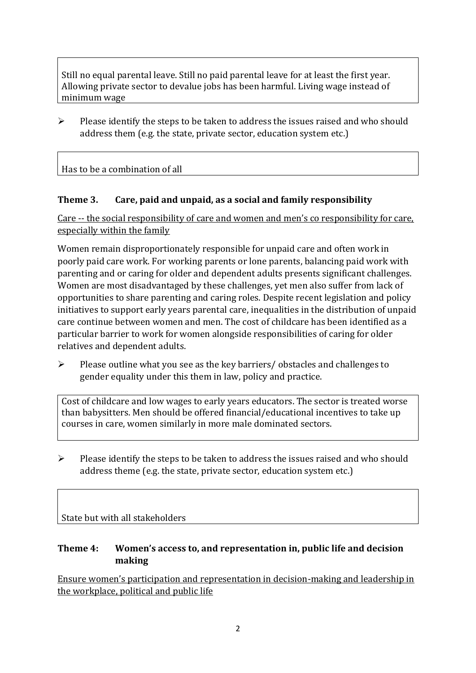Still no equal parental leave. Still no paid parental leave for at least the first year. Allowing private sector to devalue jobs has been harmful. Living wage instead of minimum wage

 $\triangleright$  Please identify the steps to be taken to address the issues raised and who should address them (e.g. the state, private sector, education system etc.)

Has to be a combination of all

### **Theme 3. Care, paid and unpaid, as a social and family responsibility**

Care -- the social responsibility of care and women and men's co responsibility for care, especially within the family

Women remain disproportionately responsible for unpaid care and often work in poorly paid care work. For working parents or [lone parents,](https://aran.library.nuigalway.ie/bitstream/handle/10379/6044/Millar_and_Crosse_Activation_Report.pdf?sequence=1&isAllowed=y) balancing paid work with parenting and or caring for older and dependent adults presents significant challenges. Women are [most disadvantaged by](https://eige.europa.eu/gender-equality-index/game/IE/W) these challenges, yet men also suffer from lack of opportunities to share parenting and caring roles. Despite recent legislation and policy initiatives to support early years parental care, [inequalities in the distribution of unpaid](https://www.ihrec.ie/app/uploads/2019/07/Caring-and-Unpaid-Work-in-Ireland_Final.pdf)  [care](https://www.ihrec.ie/app/uploads/2019/07/Caring-and-Unpaid-Work-in-Ireland_Final.pdf) continue between women and men. The cost of childcare has been identified as a particular barrier to work for women alongside responsibilities of caring for older relatives and dependent adults.

➢ Please outline what you see as the key barriers/ obstacles and challenges to gender equality under this them in law, policy and practice.

Cost of childcare and low wages to early years educators. The sector is treated worse than babysitters. Men should be offered financial/educational incentives to take up courses in care, women similarly in more male dominated sectors.

➢ Please identify the steps to be taken to address the issues raised and who should address theme (e.g. the state, private sector, education system etc.)

State but with all stakeholders

### **Theme 4: Women's access to, and representation in, public life and decision making**

Ensure women's participation and representation in decision-making and leadership in the workplace, political and public life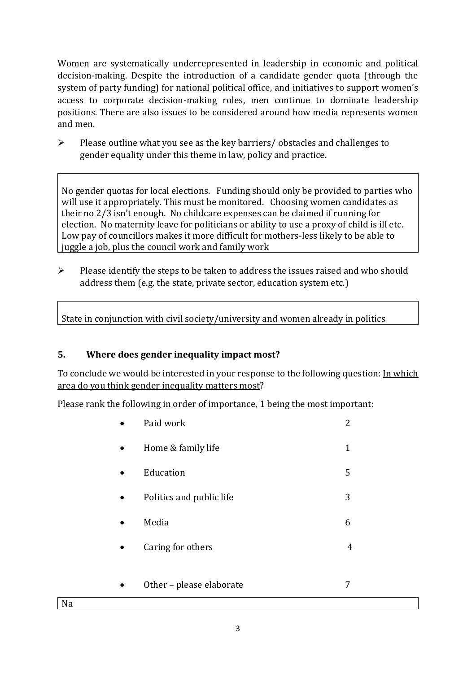Women are systematically underrepresented in leadership in [economic](https://eige.europa.eu/gender-equality-index/2019/compare-countries/power/2/bar) and [political](https://eige.europa.eu/gender-equality-index/2019/compare-countries/power/1/bar)  [decision-](https://eige.europa.eu/gender-equality-index/2019/compare-countries/power/1/bar)making. Despite the introduction of a candidate gender quota (through the system of party funding) for national political office, and [initiatives](https://betterbalance.ie/) to support women's access to corporate decision-making roles, men continue to dominate leadership positions. There are also issues to be considered around how media represents women and men.

➢ Please outline what you see as the key barriers/ obstacles and challenges to gender equality under this theme in law, policy and practice.

No gender quotas for local elections. Funding should only be provided to parties who will use it appropriately. This must be monitored. Choosing women candidates as their no 2/3 isn't enough. No childcare expenses can be claimed if running for election. No maternity leave for politicians or ability to use a proxy of child is ill etc. Low pay of councillors makes it more difficult for mothers-less likely to be able to juggle a job, plus the council work and family work

 $\triangleright$  Please identify the steps to be taken to address the issues raised and who should address them (e.g. the state, private sector, education system etc.)

State in conjunction with civil society/university and women already in politics

### **5. Where does gender inequality impact most?**

To conclude we would be interested in your response to the following question: In which area do you think gender inequality matters most?

Please rank the following in order of importance, 1 being the most important:

| Paid work                | 2 |
|--------------------------|---|
| Home & family life       | 1 |
| Education                | 5 |
| Politics and public life | 3 |
| Media                    | 6 |
| Caring for others        | 4 |
|                          |   |
| Other - please elaborate |   |